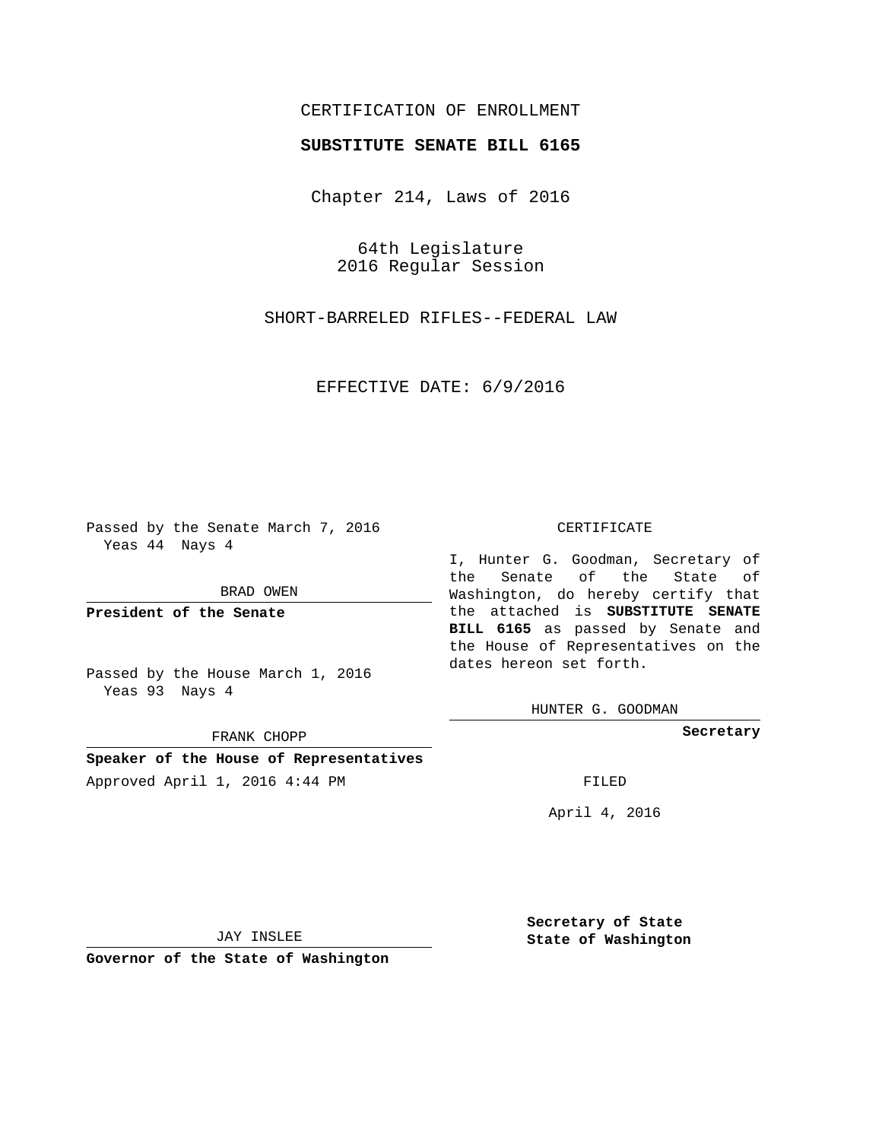## CERTIFICATION OF ENROLLMENT

## **SUBSTITUTE SENATE BILL 6165**

Chapter 214, Laws of 2016

64th Legislature 2016 Regular Session

SHORT-BARRELED RIFLES--FEDERAL LAW

EFFECTIVE DATE: 6/9/2016

Passed by the Senate March 7, 2016 Yeas 44 Nays 4

BRAD OWEN

**President of the Senate**

Passed by the House March 1, 2016 Yeas 93 Nays 4

FRANK CHOPP

**Speaker of the House of Representatives**

Approved April 1, 2016 4:44 PM FILED

#### CERTIFICATE

I, Hunter G. Goodman, Secretary of the Senate of the State of Washington, do hereby certify that the attached is **SUBSTITUTE SENATE BILL 6165** as passed by Senate and the House of Representatives on the dates hereon set forth.

HUNTER G. GOODMAN

**Secretary**

April 4, 2016

JAY INSLEE

**Governor of the State of Washington**

**Secretary of State State of Washington**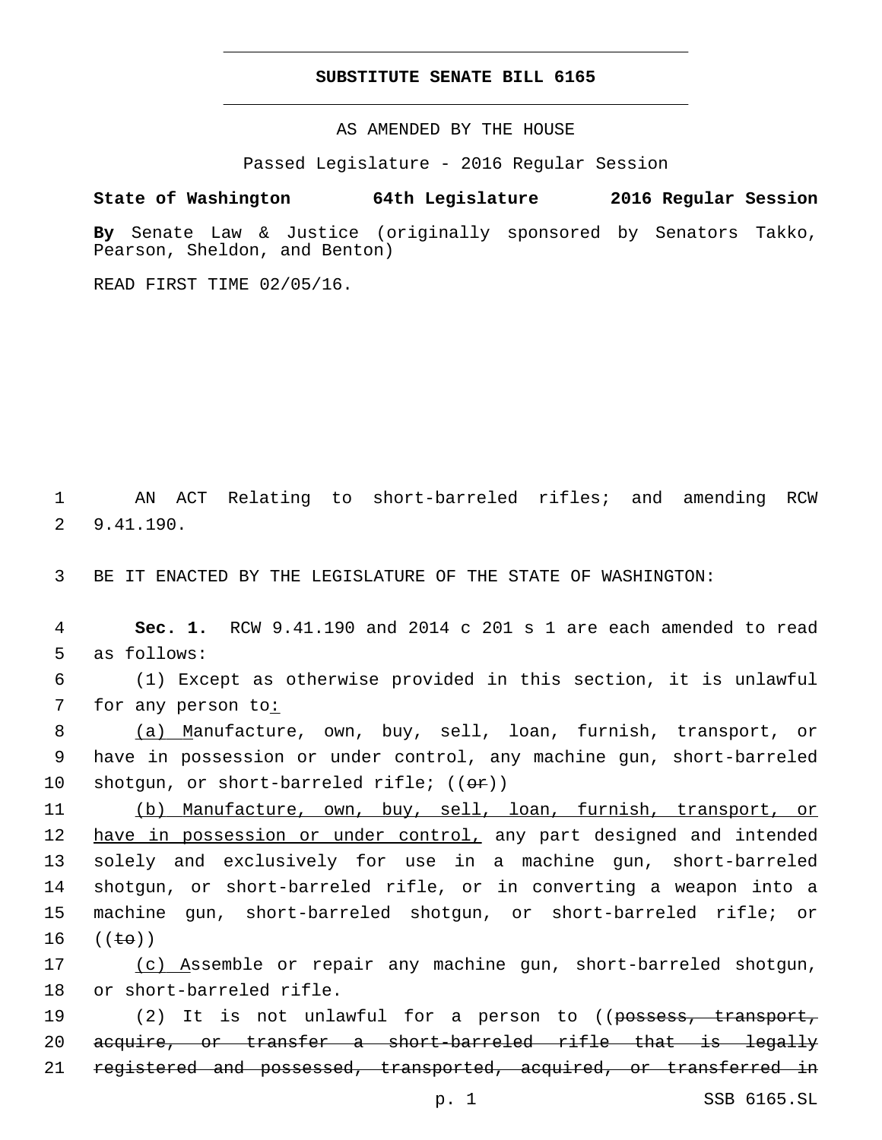### **SUBSTITUTE SENATE BILL 6165**

AS AMENDED BY THE HOUSE

Passed Legislature - 2016 Regular Session

# **State of Washington 64th Legislature 2016 Regular Session**

**By** Senate Law & Justice (originally sponsored by Senators Takko, Pearson, Sheldon, and Benton)

READ FIRST TIME 02/05/16.

1 AN ACT Relating to short-barreled rifles; and amending RCW 9.41.190.2

3 BE IT ENACTED BY THE LEGISLATURE OF THE STATE OF WASHINGTON:

4 **Sec. 1.** RCW 9.41.190 and 2014 c 201 s 1 are each amended to read 5 as follows:

6 (1) Except as otherwise provided in this section, it is unlawful 7 for any person to:

8 (a) Manufacture, own, buy, sell, loan, furnish, transport, or 9 have in possession or under control, any machine gun, short-barreled 10 shotgun, or short-barreled rifle;  $((\theta \cdot \hat{r}))$ 

 (b) Manufacture, own, buy, sell, loan, furnish, transport, or 12 have in possession or under control, any part designed and intended solely and exclusively for use in a machine gun, short-barreled shotgun, or short-barreled rifle, or in converting a weapon into a machine gun, short-barreled shotgun, or short-barreled rifle; or  $(\text{te})$ )

17 (c) Assemble or repair any machine gun, short-barreled shotgun, 18 or short-barreled rifle.

19 (2) It is not unlawful for a person to ((<del>possess, transport,</del> 20 acquire, or transfer a short-barreled rifle that is legally 21 registered and possessed, transported, acquired, or transferred in